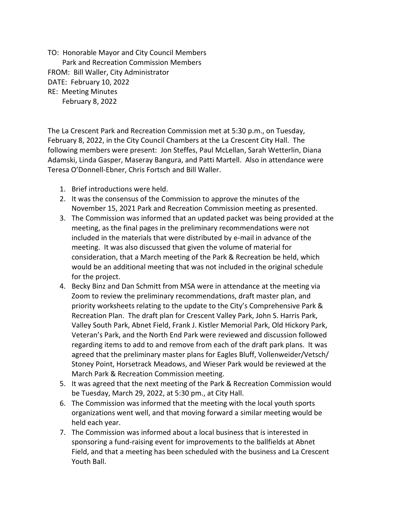TO: Honorable Mayor and City Council Members Park and Recreation Commission Members FROM: Bill Waller, City Administrator DATE: February 10, 2022 RE: Meeting Minutes February 8, 2022

The La Crescent Park and Recreation Commission met at 5:30 p.m., on Tuesday, February 8, 2022, in the City Council Chambers at the La Crescent City Hall. The following members were present: Jon Steffes, Paul McLellan, Sarah Wetterlin, Diana Adamski, Linda Gasper, Maseray Bangura, and Patti Martell. Also in attendance were Teresa O'Donnell-Ebner, Chris Fortsch and Bill Waller.

- 1. Brief introductions were held.
- 2. It was the consensus of the Commission to approve the minutes of the November 15, 2021 Park and Recreation Commission meeting as presented.
- 3. The Commission was informed that an updated packet was being provided at the meeting, as the final pages in the preliminary recommendations were not included in the materials that were distributed by e-mail in advance of the meeting. It was also discussed that given the volume of material for consideration, that a March meeting of the Park & Recreation be held, which would be an additional meeting that was not included in the original schedule for the project.
- 4. Becky Binz and Dan Schmitt from MSA were in attendance at the meeting via Zoom to review the preliminary recommendations, draft master plan, and priority worksheets relating to the update to the City's Comprehensive Park & Recreation Plan. The draft plan for Crescent Valley Park, John S. Harris Park, Valley South Park, Abnet Field, Frank J. Kistler Memorial Park, Old Hickory Park, Veteran's Park, and the North End Park were reviewed and discussion followed regarding items to add to and remove from each of the draft park plans. It was agreed that the preliminary master plans for Eagles Bluff, Vollenweider/Vetsch/ Stoney Point, Horsetrack Meadows, and Wieser Park would be reviewed at the March Park & Recreation Commission meeting.
- 5. It was agreed that the next meeting of the Park & Recreation Commission would be Tuesday, March 29, 2022, at 5:30 pm., at City Hall.
- 6. The Commission was informed that the meeting with the local youth sports organizations went well, and that moving forward a similar meeting would be held each year.
- 7. The Commission was informed about a local business that is interested in sponsoring a fund-raising event for improvements to the ballfields at Abnet Field, and that a meeting has been scheduled with the business and La Crescent Youth Ball.